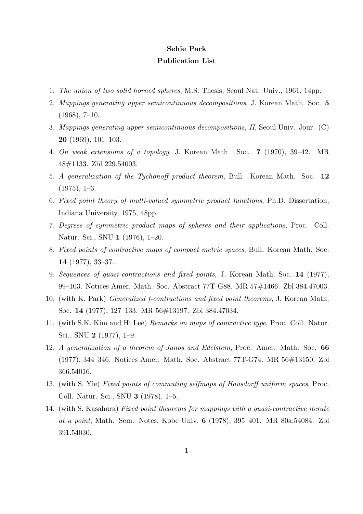## **Sehie Park Publication List**

- 1. *The union of two solid horned spheres*, M.S. Thesis, Seoul Nat. Univ., 1961, 14pp.
- 2. *Mappings generating upper semicontinuous decompositions*, J. Korean Math. Soc. **5**  $(1968), 7-10.$
- 3. *Mappings generating upper semicontinuous decompositions, II*, Seoul Univ. Jour. (C) **20** (1969), 101–103.
- 4. *On weak extensions of a topology*, J. Korean Math. Soc. **7** (1970), 39–42. MR 48#1133. Zbl 229.54003.
- 5. *A generalization of the Tychonoff product theorem*, Bull. Korean Math. Soc. **12** (1975), 1–3.
- 6. *Fixed point theory of multi-valued symmetric product functions*, Ph.D. Dissertation, Indiana University, 1975, 48pp.
- 7. *Degrees of symmetric product maps of spheres and their applications*, Proc. Coll. Natur. Sci., SNU **1** (1976), 1–20.
- 8. *Fixed points of contractive maps of compact metric spaces*, Bull. Korean Math. Soc. **14** (1977), 33–37.
- 9. *Sequences of quasi-contractions and fixed points*, J. Korean Math. Soc. **14** (1977), 99–103. Notices Amer. Math. Soc. Abstract 77T-G88. MR 57#1466. Zbl 384.47003.
- 10. (with K. Park) *Generalized f-contractions and fixed point theorems*, J. Korean Math. Soc. **14** (1977), 127–133. MR 56#13197. Zbl 384.47034.
- 11. (with S.K. Kim and H. Lee) *Remarks on maps of contractive type*, Proc. Coll. Natur. Sci., SNU **2** (1977), 1–9.
- 12. *A generalization of a theorem of Janos and Edelstein*, Proc. Amer. Math. Soc. **66** (1977), 344–346. Notices Amer. Math. Soc. Abstract 77T-G74. MR 56#13150. Zbl 366.54016.
- 13. (with S. Yie) *Fixed points of commuting selfmaps of Hausdorff uniform spaces*, Proc. Coll. Natur. Sci., SNU **3** (1978), 1–5.
- 14. (with S. Kasahara) *Fixed point theorems for mappings with a quasi-contractive iterate at a point*, Math. Sem. Notes, Kobe Univ. **6** (1978), 395–401. MR 80a:54084. Zbl 391.54030.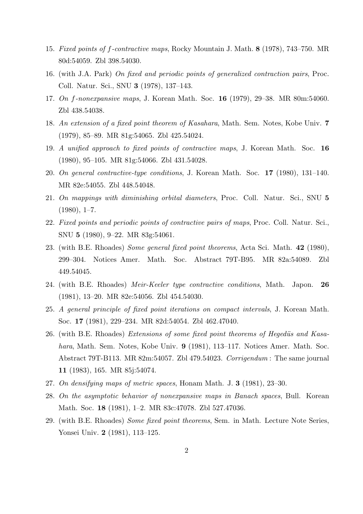- 15. *Fixed points of f-contractive maps*, Rocky Mountain J. Math. **8** (1978), 743–750. MR 80d:54059. Zbl 398.54030.
- 16. (with J.A. Park) *On fixed and periodic points of generalized contraction pairs*, Proc. Coll. Natur. Sci., SNU **3** (1978), 137–143.
- 17. *On f-nonexpansive maps*, J. Korean Math. Soc. **16** (1979), 29–38. MR 80m:54060. Zbl 438.54038.
- 18. *An extension of a fixed point theorem of Kasahara*, Math. Sem. Notes, Kobe Univ. **7** (1979), 85–89. MR 81g:54065. Zbl 425.54024.
- 19. *A unified approach to fixed points of contractive maps*, J. Korean Math. Soc. **16** (1980), 95–105. MR 81g:54066. Zbl 431.54028.
- 20. *On general contractive-type conditions*, J. Korean Math. Soc. **17** (1980), 131–140. MR 82e:54055. Zbl 448.54048.
- 21. *On mappings with diminishing orbital diameters*, Proc. Coll. Natur. Sci., SNU **5**  $(1980), 1-7.$
- 22. *Fixed points and periodic points of contractive pairs of maps*, Proc. Coll. Natur. Sci., SNU **5** (1980), 9–22. MR 83g:54061.
- 23. (with B.E. Rhoades) *Some general fixed point theorems*, Acta Sci. Math. **42** (1980), 299–304. Notices Amer. Math. Soc. Abstract 79T-B95. MR 82a:54089. Zbl 449.54045.
- 24. (with B.E. Rhoades) *Meir-Keeler type contractive conditions*, Math. Japon. **26** (1981), 13–20. MR 82e:54056. Zbl 454.54030.
- 25. *A general principle of fixed point iterations on compact intervals*, J. Korean Math. Soc. **17** (1981), 229–234. MR 82d:54054. Zbl 462.47040.
- 26. (with B.E. Rhoades) *Extensions of some fixed point theorems of Hegedüs and Kasahara*, Math. Sem. Notes, Kobe Univ. **9** (1981), 113–117. Notices Amer. Math. Soc. Abstract 79T-B113. MR 82m:54057. Zbl 479.54023. *Corrigendum* : The same journal **11** (1983), 165. MR 85j:54074.
- 27. *On densifying maps of metric spaces*, Honam Math. J. **3** (1981), 23–30.
- 28. *On the asymptotic behavior of nonexpansive maps in Banach spaces*, Bull. Korean Math. Soc. **18** (1981), 1–2. MR 83c:47078. Zbl 527.47036.
- 29. (with B.E. Rhoades) *Some fixed point theorems*, Sem. in Math. Lecture Note Series, Yonsei Univ. **2** (1981), 113–125.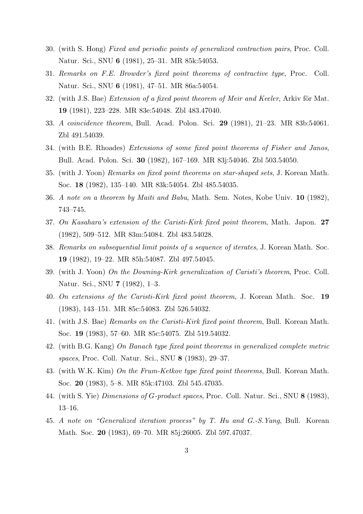- 30. (with S. Hong) *Fixed and periodic points of generalized contraction pairs*, Proc. Coll. Natur. Sci., SNU **6** (1981), 25–31. MR 85k:54053.
- 31. *Remarks on F.E. Browder's fixed point theorems of contractive type*, Proc. Coll. Natur. Sci., SNU **6** (1981), 47–51. MR 86a:54054.
- 32. (with J.S. Bae) *Extension of a fixed point theorem of Meir and Keeler*, Arkiv för Mat. **19** (1981), 223–228. MR 83e:54048. Zbl 483.47040.
- 33. *A coincidence theorem*, Bull. Acad. Polon. Sci. **29** (1981), 21–23. MR 83b:54061. Zbl 491.54039.
- 34. (with B.E. Rhoades) *Extensions of some fixed point theorems of Fisher and Janos*, Bull. Acad. Polon. Sci. **30** (1982), 167–169. MR 83j:54046. Zbl 503.54050.
- 35. (with J. Yoon) *Remarks on fixed point theorems on star-shaped sets*, J. Korean Math. Soc. **18** (1982), 135–140. MR 83k:54054. Zbl 485.54035.
- 36. *A note on a theorem by Maiti and Babu*, Math. Sem. Notes, Kobe Univ. **10** (1982), 743–745.
- 37. *On Kasahara's extension of the Caristi-Kirk fixed point theorem*, Math. Japon. **27** (1982), 509–512. MR 83m:54084. Zbl 483.54028.
- 38. *Remarks on subsequential limit points of a sequence of iterates*, J. Korean Math. Soc. **19** (1982), 19–22. MR 85h:54087. Zbl 497.54045.
- 39. (with J. Yoon) *On the Downing-Kirk generalization of Caristi's theorem*, Proc. Coll. Natur. Sci., SNU **7** (1982), 1–3.
- 40. *On extensions of the Caristi-Kirk fixed point theorem*, J. Korean Math. Soc. **19** (1983), 143–151. MR 85c:54083. Zbl 526.54032.
- 41. (with J.S. Bae) *Remarks on the Caristi-Kirk fixed point theorem*, Bull. Korean Math. Soc. **19** (1983), 57–60. MR 85c:54075. Zbl 519.54032.
- 42. (with B.G. Kang) *On Banach type fixed point theorems in generalized complete metric spaces*, Proc. Coll. Natur. Sci., SNU **8** (1983), 29–37.
- 43. (with W.K. Kim) *On the Frum-Ketkov type fixed point theorems*, Bull. Korean Math. Soc. **20** (1983), 5–8. MR 85k:47103. Zbl 545.47035.
- 44. (with S. Yie) *Dimensions of G-product spaces*, Proc. Coll. Natur. Sci., SNU **8** (1983), 13–16.
- 45. *A note on "Generalized iteration process" by T. Hu and G.-S.Yang*, Bull. Korean Math. Soc. **20** (1983), 69–70. MR 85j:26005. Zbl 597.47037.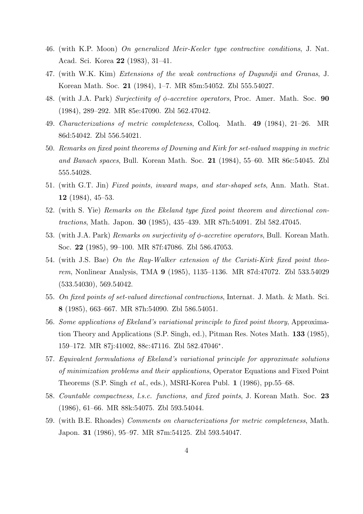- 46. (with K.P. Moon) *On generalized Meir-Keeler type contractive conditions*, J. Nat. Acad. Sci. Korea **22** (1983), 31–41.
- 47. (with W.K. Kim) *Extensions of the weak contractions of Dugundji and Granas*, J. Korean Math. Soc. **21** (1984), 1–7. MR 85m:54052. Zbl 555.54027.
- 48. (with J.A. Park) *Surjectivity of ϕ-accretive operators*, Proc. Amer. Math. Soc. **90** (1984), 289–292. MR 85e:47090. Zbl 562.47042.
- 49. *Characterizations of metric completeness*, Colloq. Math. **49** (1984), 21–26. MR 86d:54042. Zbl 556.54021.
- 50. *Remarks on fixed point theorems of Downing and Kirk for set-valued mapping in metric and Banach spaces*, Bull. Korean Math. Soc. **21** (1984), 55–60. MR 86c:54045. Zbl 555.54028.
- 51. (with G.T. Jin) *Fixed points, inward maps, and star-shaped sets*, Ann. Math. Stat. **12** (1984), 45–53.
- 52. (with S. Yie) *Remarks on the Ekeland type fixed point theorem and directional contractions*, Math. Japon. **30** (1985), 435–439. MR 87h:54091. Zbl 582.47045.
- 53. (with J.A. Park) *Remarks on surjectivity of ϕ-accretive operators*, Bull. Korean Math. Soc. **22** (1985), 99–100. MR 87f:47086. Zbl 586.47053.
- 54. (with J.S. Bae) *On the Ray-Walker extension of the Caristi-Kirk fixed point theorem*, Nonlinear Analysis, TMA **9** (1985), 1135–1136. MR 87d:47072. Zbl 533.54029 (533.54030), 569.54042.
- 55. *On fixed points of set-valued directional contractions*, Internat. J. Math. & Math. Sci. **8** (1985), 663–667. MR 87h:54090. Zbl 586.54051.
- 56. *Some applications of Ekeland's variational principle to fixed point theory*, Approximation Theory and Applications (S.P. Singh, ed.), Pitman Res. Notes Math. **133** (1985), 159–172. MR 87j:41002, 88c:47116. Zbl 582.47046*<sup>∗</sup>* .
- 57. *Equivalent formulations of Ekeland's variational principle for approximate solutions of minimization problems and their applications*, Operator Equations and Fixed Point Theorems (S.P. Singh *et al*., eds.), MSRI-Korea Publ. **1** (1986), pp.55–68.
- 58. *Countable compactness, l.s.c. functions, and fixed points*, J. Korean Math. Soc. **23** (1986), 61–66. MR 88k:54075. Zbl 593.54044.
- 59. (with B.E. Rhoades) *Comments on characterizations for metric completeness*, Math. Japon. **31** (1986), 95–97. MR 87m:54125. Zbl 593.54047.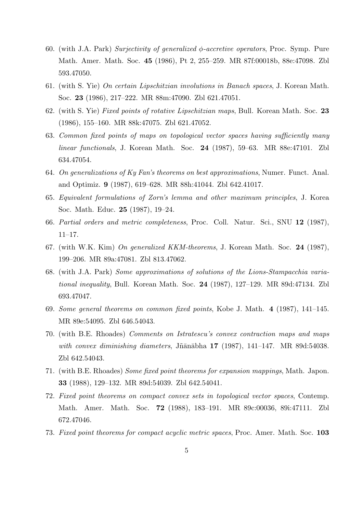- 60. (with J.A. Park) *Surjectivity of generalized ϕ-accretive operators*, Proc. Symp. Pure Math. Amer. Math. Soc. **45** (1986), Pt 2, 255–259. MR 87f:00018b, 88e:47098. Zbl 593.47050.
- 61. (with S. Yie) *On certain Lipschitzian involutions in Banach spaces*, J. Korean Math. Soc. **23** (1986), 217–222. MR 88m:47090. Zbl 621.47051.
- 62. (with S. Yie) *Fixed points of rotative Lipschitzian maps*, Bull. Korean Math. Soc. **23** (1986), 155–160. MR 88k:47075. Zbl 621.47052.
- 63. *Common fixed points of maps on topological vector spaces having sufficiently many linear functionals*, J. Korean Math. Soc. **24** (1987), 59–63. MR 88e:47101. Zbl 634.47054.
- 64. *On generalizations of Ky Fan's theorems on best approximations*, Numer. Funct. Anal. and Optimiz. **9** (1987), 619–628. MR 88h:41044. Zbl 642.41017.
- 65. *Equivalent formulations of Zorn's lemma and other maximum principles*, J. Korea Soc. Math. Educ. **25** (1987), 19–24.
- 66. *Partial orders and metric completeness*, Proc. Coll. Natur. Sci., SNU **12** (1987), 11–17.
- 67. (with W.K. Kim) *On generalized KKM-theorems*, J. Korean Math. Soc. **24** (1987), 199–206. MR 89a:47081. Zbl 813.47062.
- 68. (with J.A. Park) *Some approximations of solutions of the Lions-Stampacchia variational inequality*, Bull. Korean Math. Soc. **24** (1987), 127–129. MR 89d:47134. Zbl 693.47047.
- 69. *Some general theorems on common fixed points*, Kobe J. Math. **4** (1987), 141–145. MR 89e:54095. Zbl 646.54043.
- 70. (with B.E. Rhoades) *Comments on Istratescu's convex contraction maps and maps with convex diminishing diameters*, Jñānābha 17 (1987), 141–147. MR 89d:54038. Zbl 642.54043.
- 71. (with B.E. Rhoades) *Some fixed point theorems for expansion mappings*, Math. Japon. **33** (1988), 129–132. MR 89d:54039. Zbl 642.54041.
- 72. *Fixed point theorems on compact convex sets in topological vector spaces*, Contemp. Math. Amer. Math. Soc. **72** (1988), 183–191. MR 89c:00036, 89i:47111. Zbl 672.47046.
- 73. *Fixed point theorems for compact acyclic metric spaces*, Proc. Amer. Math. Soc. **103**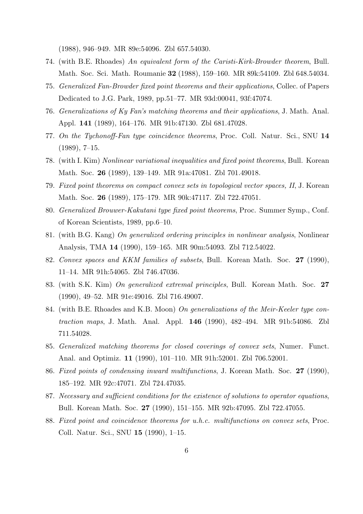(1988), 946–949. MR 89e:54096. Zbl 657.54030.

- 74. (with B.E. Rhoades) *An equivalent form of the Caristi-Kirk-Browder theorem*, Bull. Math. Soc. Sci. Math. Roumanie **32** (1988), 159–160. MR 89k:54109. Zbl 648.54034.
- 75. *Generalized Fan-Browder fixed point theorems and their applications*, Collec. of Papers Dedicated to J.G. Park, 1989, pp.51–77. MR 93d:00041, 93f:47074.
- 76. *Generalizations of Ky Fan's matching theorems and their applications*, J. Math. Anal. Appl. **141** (1989), 164–176. MR 91b:47130. Zbl 681.47028.
- 77. *On the Tychonoff-Fan type coincidence theorems*, Proc. Coll. Natur. Sci., SNU **14**  $(1989), 7-15.$
- 78. (with I. Kim) *Nonlinear variational inequalities and fixed point theorems*, Bull. Korean Math. Soc. **26** (1989), 139–149. MR 91a:47081. Zbl 701.49018.
- 79. *Fixed point theorems on compact convex sets in topological vector spaces, II*, J. Korean Math. Soc. **26** (1989), 175–179. MR 90k:47117. Zbl 722.47051.
- 80. *Generalized Brouwer-Kakutani type fixed point theorems*, Proc. Summer Symp., Conf. of Korean Scientists, 1989, pp.6–10.
- 81. (with B.G. Kang) *On generalized ordering principles in nonlinear analysis*, Nonlinear Analysis, TMA **14** (1990), 159–165. MR 90m:54093. Zbl 712.54022.
- 82. *Convex spaces and KKM families of subsets*, Bull. Korean Math. Soc. **27** (1990), 11–14. MR 91h:54065. Zbl 746.47036.
- 83. (with S.K. Kim) *On generalized extremal principles*, Bull. Korean Math. Soc. **27** (1990), 49–52. MR 91e:49016. Zbl 716.49007.
- 84. (with B.E. Rhoades and K.B. Moon) *On generalizations of the Meir-Keeler type contraction maps*, J. Math. Anal. Appl. **146** (1990), 482–494. MR 91b:54086. Zbl 711.54028.
- 85. *Generalized matching theorems for closed coverings of convex sets*, Numer. Funct. Anal. and Optimiz. **11** (1990), 101–110. MR 91h:52001. Zbl 706.52001.
- 86. *Fixed points of condensing inward multifunctions*, J. Korean Math. Soc. **27** (1990), 185–192. MR 92c:47071. Zbl 724.47035.
- 87. *Necessary and sufficient conditions for the existence of solutions to operator equations*, Bull. Korean Math. Soc. **27** (1990), 151–155. MR 92b:47095. Zbl 722.47055.
- 88. *Fixed point and coincidence theorems for u.h.c. multifunctions on convex sets*, Proc. Coll. Natur. Sci., SNU **15** (1990), 1–15.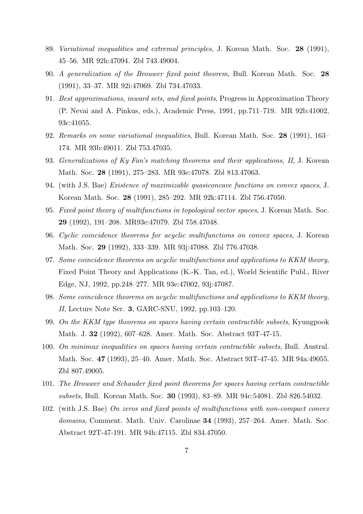- 89. *Variational inequalities and extremal principles*, J. Korean Math. Soc. **28** (1991), 45–56. MR 92h:47094. Zbl 743.49004.
- 90. *A generalization of the Brouwer fixed point theorem*, Bull. Korean Math. Soc. **28** (1991), 33–37. MR 92i:47069. Zbl 734.47033.
- 91. *Best approximations, inward sets, and fixed points*, Progress in Approximation Theory (P. Nevai and A. Pinkus, eds.), Academic Press, 1991, pp.711–719. MR 92b:41002, 93c:41055.
- 92. *Remarks on some variational inequalities*, Bull. Korean Math. Soc. **28** (1991), 163– 174. MR 93b:49011. Zbl 753.47035.
- 93. *Generalizations of Ky Fan's matching theorems and their applications, II*, J. Korean Math. Soc. **28** (1991), 275–283. MR 93e:47078. Zbl 813.47063.
- 94. (with J.S. Bae) *Existence of maximizable quasiconcave functions on convex spaces*, J. Korean Math. Soc. **28** (1991), 285–292. MR 92k:47114. Zbl 756.47050.
- 95. *Fixed point theory of multifunctions in topological vector spaces*, J. Korean Math. Soc. **29** (1992), 191–208. MR93e:47079. Zbl 758.47048.
- 96. *Cyclic coincidence theorems for acyclic multifunctions on convex spaces*, J. Korean Math. Soc. **29** (1992), 333–339. MR 93j:47088. Zbl 776.47038.
- 97. *Some coincidence theorems on acyclic multifunctions and applications to KKM theory*, Fixed Point Theory and Applications (K.-K. Tan, ed.), World Scientific Publ., River Edge, NJ, 1992, pp.248–277. MR 93e:47002, 93j:47087.
- 98. *Some coincidence theorems on acyclic multifunctions and applications to KKM theory, II*, Lecture Note Ser. **3**, GARC-SNU, 1992, pp.103–120.
- 99. *On the KKM type theorems on spaces having certain contractible subsets*, Kyungpook Math. J. **32** (1992), 607–628. Amer. Math. Soc. Abstract 93T-47-15.
- 100. *On minimax inequalities on spaces having certain contractible subsets*, Bull. Austral. Math. Soc. **47** (1993), 25–40. Amer. Math. Soc. Abstract 93T-47-45. MR 94a:49055. Zbl 807.49005.
- 101. *The Brouwer and Schauder fixed point theorems for spaces having certain contractible subsets*, Bull. Korean Math. Soc. **30** (1993), 83–89. MR 94c:54081. Zbl 826.54032.
- 102. (with J.S. Bae) *On zeros and fixed points of multifunctions with non-compact convex domains*, Comment. Math. Univ. Carolinae **34** (1993), 257–264. Amer. Math. Soc. Abstract 92T-47-191. MR 94h:47115. Zbl 834.47050.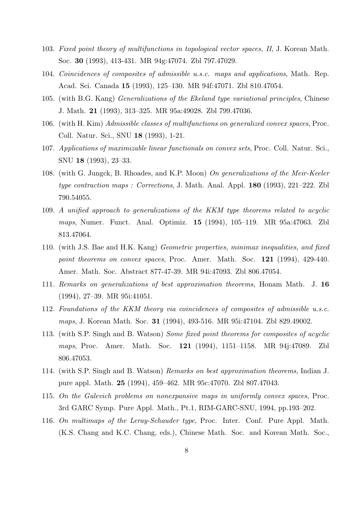- 103. *Fixed point theory of multifunctions in topological vector spaces, II*, J. Korean Math. Soc. **30** (1993), 413-431. MR 94g:47074. Zbl 797.47029.
- 104. *Coincidences of composites of admissible u.s.c. maps and applications*, Math. Rep. Acad. Sci. Canada **15** (1993), 125–130. MR 94f:47071. Zbl 810.47054.
- 105. (with B.G. Kang) *Generalizations of the Ekeland type variational principles*, Chinese J. Math. **21** (1993), 313–325. MR 95a:49028. Zbl 799.47036.
- 106. (with H. Kim) *Admissible classes of multifunctions on generalized convex spaces*, Proc. Coll. Natur. Sci., SNU **18** (1993), 1-21.
- 107. *Applications of maximizable linear functionals on convex sets*, Proc. Coll. Natur. Sci., SNU **18** (1993), 23–33.
- 108. (with G. Jungck, B. Rhoades, and K.P. Moon) *On generalizations of the Meir-Keeler type contraction maps : Corrections*, J. Math. Anal. Appl. **180** (1993), 221–222. Zbl 790.54055.
- 109. *A unified approach to generalizations of the KKM type theorems related to acyclic maps*, Numer. Funct. Anal. Optimiz. **15** (1994), 105–119. MR 95a:47063. Zbl 813.47064.
- 110. (with J.S. Bae and H.K. Kang) *Geometric properties, minimax inequalities, and fixed point theorems on convex spaces*, Proc. Amer. Math. Soc. **121** (1994), 429-440. Amer. Math. Soc. Abstract 877-47-39. MR 94i:47093. Zbl 806.47054.
- 111. *Remarks on generalizations of best approximation theorems*, Honam Math. J. **16** (1994), 27–39. MR 95i:41051.
- 112. *Foundations of the KKM theory via coincidences of composites of admissible u.s.c. maps*, J. Korean Math. Soc. **31** (1994), 493-516. MR 95i:47104. Zbl 829.49002.
- 113. (with S.P. Singh and B. Watson) *Some fixed point theorems for composites of acyclic maps*, Proc. Amer. Math. Soc. **121** (1994), 1151–1158. MR 94j:47089. Zbl 806.47053.
- 114. (with S.P. Singh and B. Watson) *Remarks on best approximation theorems*, Indian J. pure appl. Math. **25** (1994), 459–462. MR 95c:47070. Zbl 807.47043.
- 115. *On the Gulevich problems on nonexpansive maps in uniformly convex spaces*, Proc. 3rd GARC Symp. Pure Appl. Math., Pt.1, RIM-GARC-SNU, 1994, pp.193–202.
- 116. *On multimaps of the Leray-Schauder type*, Proc. Inter. Conf. Pure Appl. Math. (K.S. Chang and K.C. Chang, eds.), Chinese Math. Soc. and Korean Math. Soc.,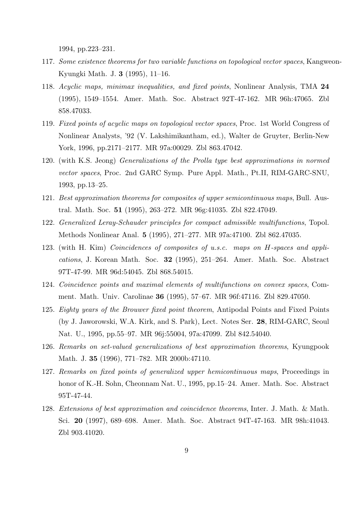1994, pp.223–231.

- 117. *Some existence theorems for two variable functions on topological vector spaces*, Kangweon-Kyungki Math. J. **3** (1995), 11–16.
- 118. *Acyclic maps, minimax inequalities, and fixed points*, Nonlinear Analysis, TMA **24** (1995), 1549–1554. Amer. Math. Soc. Abstract 92T-47-162. MR 96h:47065. Zbl 858.47033.
- 119. *Fixed points of acyclic maps on topological vector spaces*, Proc. 1st World Congress of Nonlinear Analysts, '92 (V. Lakshimikantham, ed.), Walter de Gruyter, Berlin-New York, 1996, pp.2171–2177. MR 97a:00029. Zbl 863.47042.
- 120. (with K.S. Jeong) *Generalizations of the Prolla type best approximations in normed vector spaces*, Proc. 2nd GARC Symp. Pure Appl. Math., Pt.II, RIM-GARC-SNU, 1993, pp.13–25.
- 121. *Best approximation theorems for composites of upper semicontinuous maps*, Bull. Austral. Math. Soc. **51** (1995), 263–272. MR 96g:41035. Zbl 822.47049.
- 122. *Generalized Leray-Schauder principles for compact admissible multifunctions*, Topol. Methods Nonlinear Anal. **5** (1995), 271–277. MR 97a:47100. Zbl 862.47035.
- 123. (with H. Kim) *Coincidences of composites of u.s.c. maps on H-spaces and applications*, J. Korean Math. Soc. **32** (1995), 251–264. Amer. Math. Soc. Abstract 97T-47-99. MR 96d:54045. Zbl 868.54015.
- 124. *Coincidence points and maximal elements of multifunctions on convex spaces*, Comment. Math. Univ. Carolinae **36** (1995), 57–67. MR 96f:47116. Zbl 829.47050.
- 125. *Eighty years of the Brouwer fixed point theorem*, Antipodal Points and Fixed Points (by J. Jaworowski, W.A. Kirk, and S. Park), Lect. Notes Ser. **28**, RIM-GARC, Seoul Nat. U., 1995, pp.55–97. MR 96j:55004, 97a:47099. Zbl 842.54040.
- 126. *Remarks on set-valued generalizations of best approximation theorems*, Kyungpook Math. J. **35** (1996), 771–782. MR 2000b:47110.
- 127. *Remarks on fixed points of generalized upper hemicontinuous maps*, Proceedings in honor of K.-H. Sohn, Cheonnam Nat. U., 1995, pp.15–24. Amer. Math. Soc. Abstract 95T-47-44.
- 128. *Extensions of best approximation and coincidence theorems*, Inter. J. Math. & Math. Sci. **20** (1997), 689–698. Amer. Math. Soc. Abstract 94T-47-163. MR 98h:41043. Zbl 903.41020.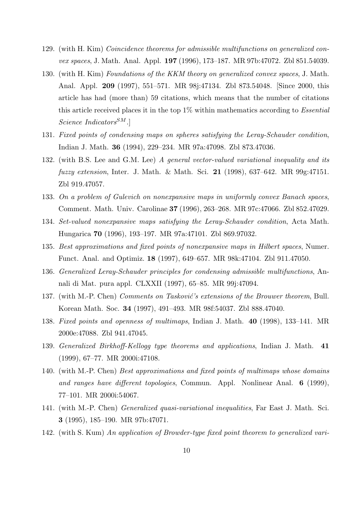- 129. (with H. Kim) *Coincidence theorems for admissible multifunctions on generalized convex spaces*, J. Math. Anal. Appl. **197** (1996), 173–187. MR 97b:47072. Zbl 851.54039.
- 130. (with H. Kim) *Foundations of the KKM theory on generalized convex spaces*, J. Math. Anal. Appl. **209** (1997), 551–571. MR 98j:47134. Zbl 873.54048. [Since 2000, this article has had (more than) 59 citations, which means that the number of citations this article received places it in the top 1% within mathematics according to *Essential Science IndicatorsSM*.]
- 131. *Fixed points of condensing maps on spheres satisfying the Leray-Schauder condition*, Indian J. Math. **36** (1994), 229–234. MR 97a:47098. Zbl 873.47036.
- 132. (with B.S. Lee and G.M. Lee) *A general vector-valued variational inequality and its fuzzy extension*, Inter. J. Math. & Math. Sci. **21** (1998), 637–642. MR 99g:47151. Zbl 919.47057.
- 133. *On a problem of Gulevich on nonexpansive maps in uniformly convex Banach spaces*, Comment. Math. Univ. Carolinae **37** (1996), 263–268. MR 97c:47066. Zbl 852.47029.
- 134. *Set-valued nonexpansive maps satisfying the Leray-Schauder condition*, Acta Math. Hungarica **70** (1996), 193–197. MR 97a:47101. Zbl 869.97032.
- 135. *Best approximations and fixed points of nonexpansive maps in Hilbert spaces*, Numer. Funct. Anal. and Optimiz. **18** (1997), 649–657. MR 98k:47104. Zbl 911.47050.
- 136. *Generalized Leray-Schauder principles for condensing admissible multifunctions*, Annali di Mat. pura appl. CLXXII (1997), 65–85. MR 99j:47094.
- 137. (with M.-P. Chen) *Comments on Tasković's extensions of the Brouwer theorem*, Bull. Korean Math. Soc. **34** (1997), 491–493. MR 98f:54037. Zbl 888.47040.
- 138. *Fixed points and openness of multimaps*, Indian J. Math. **40** (1998), 133–141. MR 2000e:47088. Zbl 941.47045.
- 139. *Generalized Birkhoff-Kellogg type theorems and applications*, Indian J. Math. **41** (1999), 67–77. MR 2000i:47108.
- 140. (with M.-P. Chen) *Best approximations and fixed points of multimaps whose domains and ranges have different topologies*, Commun. Appl. Nonlinear Anal. **6** (1999), 77–101. MR 2000i:54067.
- 141. (with M.-P. Chen) *Generalized quasi-variational inequalities*, Far East J. Math. Sci. **3** (1995), 185–190. MR 97b:47071.
- 142. (with S. Kum) *An application of Browder-type fixed point theorem to generalized vari-*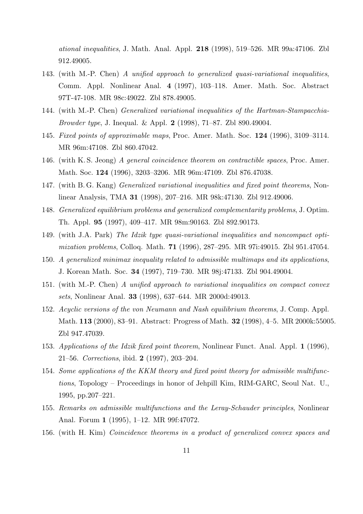*ational inequalities*, J. Math. Anal. Appl. **218** (1998), 519–526. MR 99a:47106. Zbl 912.49005.

- 143. (with M.-P. Chen) *A unified approach to generalized quasi-variational inequalities*, Comm. Appl. Nonlinear Anal. **4** (1997), 103–118. Amer. Math. Soc. Abstract 97T-47-108. MR 98c:49022. Zbl 878.49005.
- 144. (with M.-P. Chen) *Generalized variational inequalities of the Hartman-Stampacchia-Browder type*, J. Inequal. & Appl. **2** (1998), 71–87. Zbl 890.49004.
- 145. *Fixed points of approximable maps*, Proc. Amer. Math. Soc. **124** (1996), 3109–3114. MR 96m:47108. Zbl 860.47042.
- 146. (with K. S. Jeong) *A general coincidence theorem on contractible spaces*, Proc. Amer. Math. Soc. **124** (1996), 3203–3206. MR 96m:47109. Zbl 876.47038.
- 147. (with B. G. Kang) *Generalized variational inequalities and fixed point theorems*, Nonlinear Analysis, TMA **31** (1998), 207–216. MR 98k:47130. Zbl 912.49006.
- 148. *Generalized equilibrium problems and generalized complementarity problems*, J. Optim. Th. Appl. **95** (1997), 409–417. MR 98m:90163. Zbl 892.90173.
- 149. (with J.A. Park) *The Idzik type quasi-variational inequalities and noncompact optimization problems*, Colloq. Math. **71** (1996), 287–295. MR 97i:49015. Zbl 951.47054.
- 150. *A generalized minimax inequality related to admissible multimaps and its applications*, J. Korean Math. Soc. **34** (1997), 719–730. MR 98j:47133. Zbl 904.49004.
- 151. (with M.-P. Chen) *A unified approach to variational inequalities on compact convex sets*, Nonlinear Anal. **33** (1998), 637–644. MR 2000d:49013.
- 152. *Acyclic versions of the von Neumann and Nash equilibrium theorems*, J. Comp. Appl. Math. **113** (2000), 83–91. Abstract: Progress of Math. **32** (1998), 4–5. MR 2000k:55005. Zbl 947.47039.
- 153. *Applications of the Idzik fixed point theorem*, Nonlinear Funct. Anal. Appl. **1** (1996), 21–56. *Corrections*, ibid. **2** (1997), 203–204.
- 154. *Some applications of the KKM theory and fixed point theory for admissible multifunctions*, Topology – Proceedings in honor of Jehpill Kim, RIM-GARC, Seoul Nat. U., 1995, pp.207–221.
- 155. *Remarks on admissible multifunctions and the Leray-Schauder principles*, Nonlinear Anal. Forum **1** (1995), 1–12. MR 99f:47072.
- 156. (with H. Kim) *Coincidence theorems in a product of generalized convex spaces and*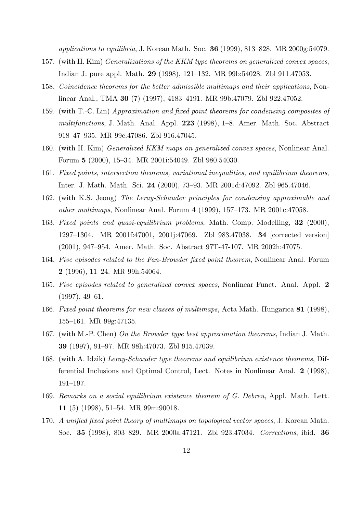*applications to equilibria*, J. Korean Math. Soc. **36** (1999), 813–828. MR 2000g:54079.

- 157. (with H. Kim) *Generalizations of the KKM type theorems on generalized convex spaces*, Indian J. pure appl. Math. **29** (1998), 121–132. MR 99b:54028. Zbl 911.47053.
- 158. *Coincidence theorems for the better admissible multimaps and their applications*, Nonlinear Anal., TMA **30** (7) (1997), 4183–4191. MR 99b:47079. Zbl 922.47052.
- 159. (with T.-C. Lin) *Approximation and fixed point theorems for condensing composites of multifunctions*, J. Math. Anal. Appl. **223** (1998), 1–8. Amer. Math. Soc. Abstract 918–47–935. MR 99c:47086. Zbl 916.47045.
- 160. (with H. Kim) *Generalized KKM maps on generalized convex spaces*, Nonlinear Anal. Forum **5** (2000), 15–34. MR 2001i:54049. Zbl 980.54030.
- 161. *Fixed points, intersection theorems, variational inequalities, and equilibrium theorems*, Inter. J. Math. Math. Sci. **24** (2000), 73–93. MR 2001d:47092. Zbl 965.47046.
- 162. (with K.S. Jeong) *The Leray-Schauder principles for condensing approximable and other multimaps*, Nonlinear Anal. Forum **4** (1999), 157–173. MR 2001c:47058.
- 163. *Fixed points and quasi-equilibrium problems*, Math. Comp. Modelling, **32** (2000), 1297–1304. MR 2001f:47001, 2001j:47069. Zbl 983.47038. **34** [corrected version] (2001), 947–954. Amer. Math. Soc. Abstract 97T-47-107. MR 2002h:47075.
- 164. *Five episodes related to the Fan-Browder fixed point theorem*, Nonlinear Anal. Forum **2** (1996), 11–24. MR 99h:54064.
- 165. *Five episodes related to generalized convex spaces*, Nonlinear Funct. Anal. Appl. **2** (1997), 49–61.
- 166. *Fixed point theorems for new classes of multimaps*, Acta Math. Hungarica **81** (1998), 155–161. MR 99g:47135.
- 167. (with M.-P. Chen) *On the Browder type best approximation theorems*, Indian J. Math. **39** (1997), 91–97. MR 98h:47073. Zbl 915.47039.
- 168. (with A. Idzik) *Leray-Schauder type theorems and equilibrium existence theorems*, Differential Inclusions and Optimal Control, Lect. Notes in Nonlinear Anal. **2** (1998), 191–197.
- 169. *Remarks on a social equilibrium existence theorem of G. Debreu*, Appl. Math. Lett. **11** (5) (1998), 51–54. MR 99m:90018.
- 170. *A unified fixed point theory of multimaps on topological vector spaces*, J. Korean Math. Soc. **35** (1998), 803–829. MR 2000a:47121. Zbl 923.47034. *Corrections*, ibid. **36**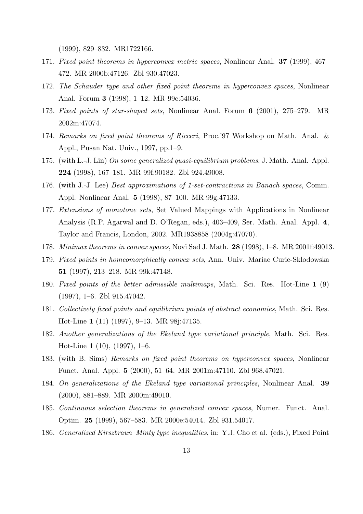(1999), 829–832. MR1722166.

- 171. *Fixed point theorems in hyperconvex metric spaces*, Nonlinear Anal. **37** (1999), 467– 472. MR 2000b:47126. Zbl 930.47023.
- 172. *The Schauder type and other fixed point theorems in hyperconvex spaces*, Nonlinear Anal. Forum **3** (1998), 1–12. MR 99e:54036.
- 173. *Fixed points of star-shaped sets*, Nonlinear Anal. Forum **6** (2001), 275–279. MR 2002m:47074.
- 174. *Remarks on fixed point theorems of Ricceri*, Proc.'97 Workshop on Math. Anal. & Appl., Pusan Nat. Univ., 1997, pp.1–9.
- 175. (with L.-J. Lin) *On some generalized quasi-equilibrium problems*, J. Math. Anal. Appl. **224** (1998), 167–181. MR 99f:90182. Zbl 924.49008.
- 176. (with J.-J. Lee) *Best approximations of 1-set-contractions in Banach spaces*, Comm. Appl. Nonlinear Anal. **5** (1998), 87–100. MR 99g:47133.
- 177. *Extensions of monotone sets*, Set Valued Mappings with Applications in Nonlinear Analysis (R.P. Agarwal and D. O'Regan, eds.), 403–409, Ser. Math. Anal. Appl. **4**, Taylor and Francis, London, 2002. MR1938858 (2004g:47070).
- 178. *Minimax theorems in convex spaces*, Novi Sad J. Math. **28** (1998), 1–8. MR 2001f:49013.
- 179. *Fixed points in homeomorphically convex sets*, Ann. Univ. Mariae Curie-Sklodowska **51** (1997), 213–218. MR 99k:47148.
- 180. *Fixed points of the better admissible multimaps*, Math. Sci. Res. Hot-Line **1** (9) (1997), 1–6. Zbl 915.47042.
- 181. *Collectively fixed points and equilibrium points of abstract economies*, Math. Sci. Res. Hot-Line **1** (11) (1997), 9–13. MR 98j:47135.
- 182. *Another generalizations of the Ekeland type variational principle*, Math. Sci. Res. Hot-Line **1** (10), (1997), 1–6.
- 183. (with B. Sims) *Remarks on fixed point theorems on hyperconvex spaces*, Nonlinear Funct. Anal. Appl. **5** (2000), 51–64. MR 2001m:47110. Zbl 968.47021.
- 184. *On generalizations of the Ekeland type variational principles*, Nonlinear Anal. **39** (2000), 881–889. MR 2000m:49010.
- 185. *Continuous selection theorems in generalized convex spaces*, Numer. Funct. Anal. Optim. **25** (1999), 567–583. MR 2000e:54014. Zbl 931.54017.
- 186. *Generalized Kirszbraun–Minty type inequalities*, in: Y.J. Cho et al. (eds.), Fixed Point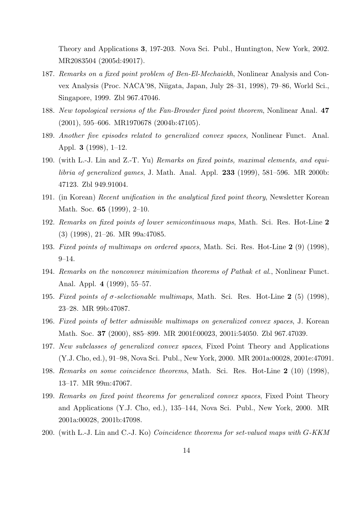Theory and Applications **3**, 197-203. Nova Sci. Publ., Huntington, New York, 2002. MR2083504 (2005d:49017).

- 187. *Remarks on a fixed point problem of Ben-El-Mechaiekh*, Nonlinear Analysis and Convex Analysis (Proc. NACA'98, Niigata, Japan, July 28–31, 1998), 79–86, World Sci., Singapore, 1999. Zbl 967.47046.
- 188. *New topological versions of the Fan-Browder fixed point theorem*, Nonlinear Anal. **47** (2001), 595–606. MR1970678 (2004b:47105).
- 189. *Another five episodes related to generalized convex spaces*, Nonlinear Funct. Anal. Appl. **3** (1998), 1–12.
- 190. (with L.-J. Lin and Z.-T. Yu) *Remarks on fixed points, maximal elements, and equilibria of generalized games*, J. Math. Anal. Appl. **233** (1999), 581–596. MR 2000b: 47123. Zbl 949.91004.
- 191. (in Korean) *Recent unification in the analytical fixed point theory*, Newsletter Korean Math. Soc. **65** (1999), 2–10.
- 192. *Remarks on fixed points of lower semicontinuous maps*, Math. Sci. Res. Hot-Line **2** (3) (1998), 21–26. MR 99a:47085.
- 193. *Fixed points of multimaps on ordered spaces*, Math. Sci. Res. Hot-Line **2** (9) (1998), 9–14.
- 194. *Remarks on the nonconvex minimization theorems of Pathak et al.*, Nonlinear Funct. Anal. Appl. **4** (1999), 55–57.
- 195. *Fixed points of σ-selectionable multimaps*, Math. Sci. Res. Hot-Line **2** (5) (1998), 23–28. MR 99b:47087.
- 196. *Fixed points of better admissible multimaps on generalized convex spaces*, J. Korean Math. Soc. **37** (2000), 885–899. MR 2001f:00023, 2001i:54050. Zbl 967.47039.
- 197. *New subclasses of generalized convex spaces*, Fixed Point Theory and Applications (Y.J. Cho, ed.), 91–98, Nova Sci. Publ., New York, 2000. MR 2001a:00028, 2001e:47091.
- 198. *Remarks on some coincidence theorems*, Math. Sci. Res. Hot-Line **2** (10) (1998), 13–17. MR 99m:47067.
- 199. *Remarks on fixed point theorems for generalized convex spaces*, Fixed Point Theory and Applications (Y.J. Cho, ed.), 135–144, Nova Sci. Publ., New York, 2000. MR 2001a:00028, 2001b:47098.
- 200. (with L.-J. Lin and C.-J. Ko) *Coincidence theorems for set-valued maps with G-KKM*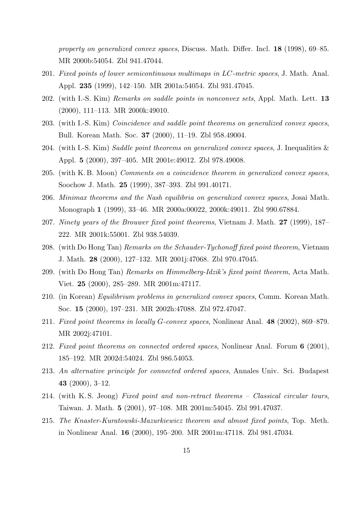*property on generalized convex spaces*, Discuss. Math. Differ. Incl. **18** (1998), 69–85. MR 2000b:54054. Zbl 941.47044.

- 201. *Fixed points of lower semicontinuous multimaps in LC-metric spaces*, J. Math. Anal. Appl. **235** (1999), 142–150. MR 2001a:54054. Zbl 931.47045.
- 202. (with I.-S. Kim) *Remarks on saddle points in nonconvex sets*, Appl. Math. Lett. **13** (2000), 111–113. MR 2000k:49010.
- 203. (with I.-S. Kim) *Coincidence and saddle point theorems on generalized convex spaces*, Bull. Korean Math. Soc. **37** (2000), 11–19. Zbl 958.49004.
- 204. (with I.-S. Kim) *Saddle point theorems on generalized convex spaces*, J. Inequalities & Appl. **5** (2000), 397–405. MR 2001e:49012. Zbl 978.49008.
- 205. (with K. B. Moon) *Comments on a coincidence theorem in generalized convex spaces*, Soochow J. Math. **25** (1999), 387–393. Zbl 991.40171.
- 206. *Minimax theorems and the Nash equilibria on generalized convex spaces*, Josai Math. Monograph **1** (1999), 33–46. MR 2000a:00022, 2000k:49011. Zbl 990.67884.
- 207. *Ninety years of the Brouwer fixed point theorems*, Vietnam J. Math. **27** (1999), 187– 222. MR 2001k:55001. Zbl 938.54039.
- 208. (with Do Hong Tan) *Remarks on the Schauder-Tychonoff fixed point theorem*, Vietnam J. Math. **28** (2000), 127–132. MR 2001j:47068. Zbl 970.47045.
- 209. (with Do Hong Tan) *Remarks on Himmelberg-Idzik's fixed point theorem*, Acta Math. Viet. **25** (2000), 285–289. MR 2001m:47117.
- 210. (in Korean) *Equilibrium problems in generalized convex spaces*, Comm. Korean Math. Soc. **15** (2000), 197–231. MR 2002h:47088. Zbl 972.47047.
- 211. *Fixed point theorems in locally G-convex spaces*, Nonlinear Anal. **48** (2002), 869–879. MR 2002j:47101.
- 212. *Fixed point theorems on connected ordered spaces*, Nonlinear Anal. Forum **6** (2001), 185–192. MR 2002d:54024. Zbl 986.54053.
- 213. *An alternative principle for connected ordered spaces*, Annales Univ. Sci. Budapest **43** (2000), 3–12.
- 214. (with K. S. Jeong) *Fixed point and non-retract theorems Classical circular tours*, Taiwan. J. Math. **5** (2001), 97–108. MR 2001m:54045. Zbl 991.47037.
- 215. *The Knaster-Kuratowski-Mazurkiewicz theorem and almost fixed points*, Top. Meth. in Nonlinear Anal. **16** (2000), 195–200. MR 2001m:47118. Zbl 981.47034.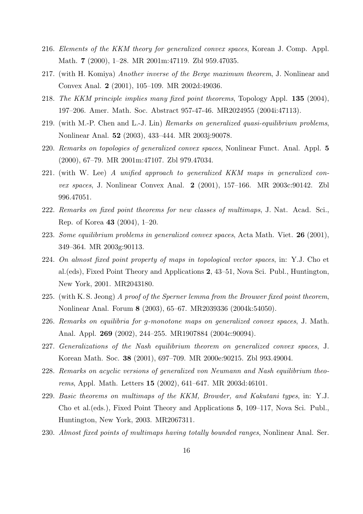- 216. *Elements of the KKM theory for generalized convex spaces*, Korean J. Comp. Appl. Math. **7** (2000), 1–28. MR 2001m:47119. Zbl 959.47035.
- 217. (with H. Komiya) *Another inverse of the Berge maximum theorem*, J. Nonlinear and Convex Anal. **2** (2001), 105–109. MR 2002d:49036.
- 218. *The KKM principle implies many fixed point theorems*, Topology Appl. **135** (2004), 197–206. Amer. Math. Soc. Abstract 957-47-46. MR2024955 (2004i:47113).
- 219. (with M.-P. Chen and L.-J. Lin) *Remarks on generalized quasi-equilibrium problems*, Nonlinear Anal. **52** (2003), 433–444. MR 2003j:90078.
- 220. *Remarks on topologies of generalized convex spaces*, Nonlinear Funct. Anal. Appl. **5** (2000), 67–79. MR 2001m:47107. Zbl 979.47034.
- 221. (with W. Lee) *A unified approach to generalized KKM maps in generalized convex spaces*, J. Nonlinear Convex Anal. **2** (2001), 157–166. MR 2003c:90142. Zbl 996.47051.
- 222. *Remarks on fixed point theorems for new classes of multimaps*, J. Nat. Acad. Sci., Rep. of Korea **43** (2004), 1–20.
- 223. *Some equilibrium problems in generalized convex spaces*, Acta Math. Viet. **26** (2001), 349–364. MR 2003g:90113.
- 224. *On almost fixed point property of maps in topological vector spaces*, in: Y.J. Cho et al.(eds), Fixed Point Theory and Applications **2**, 43–51, Nova Sci. Publ., Huntington, New York, 2001. MR2043180.
- 225. (with K. S. Jeong) *A proof of the Sperner lemma from the Brouwer fixed point theorem*, Nonlinear Anal. Forum **8** (2003), 65–67. MR2039336 (2004k:54050).
- 226. *Remarks on equilibria for g-monotone maps on generalized convex spaces*, J. Math. Anal. Appl. **269** (2002), 244–255. MR1907884 (2004c:90094).
- 227. *Generalizations of the Nash equilibrium theorem on generalized convex spaces*, J. Korean Math. Soc. **38** (2001), 697–709. MR 2000e:90215. Zbl 993.49004.
- 228. *Remarks on acyclic versions of generalized von Neumann and Nash equilibrium theorems*, Appl. Math. Letters **15** (2002), 641–647. MR 2003d:46101.
- 229. *Basic theorems on multimaps of the KKM, Browder, and Kakutani types*, in: Y.J. Cho et al.(eds.), Fixed Point Theory and Applications **5**, 109–117, Nova Sci. Publ., Huntington, New York, 2003. MR2067311.
- 230. *Almost fixed points of multimaps having totally bounded ranges*, Nonlinear Anal. Ser.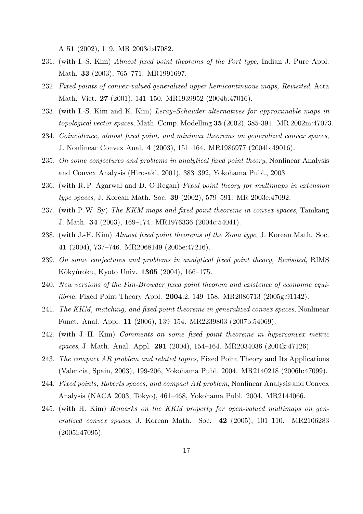A **51** (2002), 1–9. MR 2003d:47082.

- 231. (with I.-S. Kim) *Almost fixed point theorems of the Fort type*, Indian J. Pure Appl. Math. **33** (2003), 765–771. MR1991697.
- 232. *Fixed points of convex-valued generalized upper hemicontinuous maps, Revisited*, Acta Math. Viet. **27** (2001), 141–150. MR1939952 (2004b:47016).
- 233. (with I.-S. Kim and K. Kim) *Leray–Schauder alternatives for approximable maps in topological vector spaces*, Math. Comp. Modelling **35** (2002), 385-391. MR 2002m:47073.
- 234. *Coincidence, almost fixed point, and minimax theorems on generalized convex spaces*, J. Nonlinear Convex Anal. **4** (2003), 151–164. MR1986977 (2004b:49016).
- 235. *On some conjectures and problems in analytical fixed point theory*, Nonlinear Analysis and Convex Analysis (Hirosaki, 2001), 383–392, Yokohama Publ., 2003.
- 236. (with R. P. Agarwal and D. O'Regan) *Fixed point theory for multimaps in extension type spaces*, J. Korean Math. Soc. **39** (2002), 579–591. MR 2003e:47092.
- 237. (with P.W. Sy) *The KKM maps and fixed point theorems in convex spaces*, Tamkang J. Math. **34** (2003), 169–174. MR1976336 (2004c:54041).
- 238. (with J.-H. Kim) *Almost fixed point theorems of the Zima type*, J. Korean Math. Soc. **41** (2004), 737–746. MR2068149 (2005e:47216).
- 239. *On some conjectures and problems in analytical fixed point theory, Revisited*, RIMS Kôkyûroku, Kyoto Univ. **1365** (2004), 166-175.
- 240. *New versions of the Fan-Browder fixed point theorem and existence of economic equilibria*, Fixed Point Theory Appl. **2004**:2, 149–158. MR2086713 (2005g:91142).
- 241. *The KKM, matching, and fixed point theorems in generalized convex spaces*, Nonlinear Funct. Anal. Appl. **11** (2006), 139–154. MR2239803 (2007b:54069).
- 242. (with J.-H. Kim) *Comments on some fixed point theorems in hyperconvex metric spaces*, J. Math. Anal. Appl. **291** (2004), 154–164. MR2034036 (2004k:47126).
- 243. *The compact AR problem and related topics*, Fixed Point Theory and Its Applications (Valencia, Spain, 2003), 199-206, Yokohama Publ. 2004. MR2140218 (2006h:47099).
- 244. *Fixed points, Roberts spaces, and compact AR problem*, Nonlinear Analysis and Convex Analysis (NACA 2003, Tokyo), 461–468, Yokohama Publ. 2004. MR2144066.
- 245. (with H. Kim) *Remarks on the KKM property for open-valued multimaps on generalized convex spaces*, J. Korean Math. Soc. **42** (2005), 101–110. MR2106283 (2005i:47095).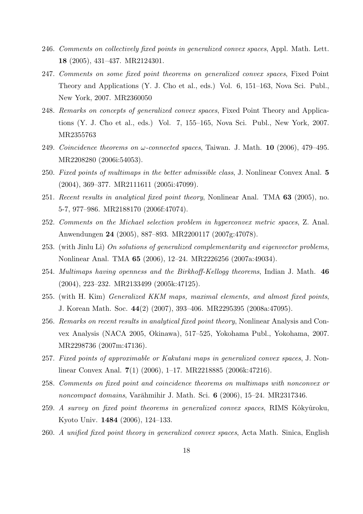- 246. *Comments on collectively fixed points in generalized convex spaces*, Appl. Math. Lett. **18** (2005), 431–437. MR2124301.
- 247. *Comments on some fixed point theorems on generalized convex spaces*, Fixed Point Theory and Applications (Y. J. Cho et al., eds.) Vol. 6, 151–163, Nova Sci. Publ., New York, 2007. MR2360050
- 248. *Remarks on concepts of generalized convex spaces*, Fixed Point Theory and Applications (Y. J. Cho et al., eds.) Vol. 7, 155–165, Nova Sci. Publ., New York, 2007. MR2355763
- 249. *Coincidence theorems on ω-connected spaces*, Taiwan. J. Math. **10** (2006), 479–495. MR2208280 (2006i:54053).
- 250. *Fixed points of multimaps in the better admissible class*, J. Nonlinear Convex Anal. **5** (2004), 369–377. MR2111611 (2005i:47099).
- 251. *Recent results in analytical fixed point theory*, Nonlinear Anal. TMA **63** (2005), no. 5-7, 977–986. MR2188170 (2006f:47074).
- 252. *Comments on the Michael selection problem in hyperconvex metric spaces*, Z. Anal. Anwendungen **24** (2005), 887–893. MR2200117 (2007g:47078).
- 253. (with Jinlu Li) *On solutions of generalized complementarity and eigenvector problems*, Nonlinear Anal. TMA **65** (2006), 12–24. MR2226256 (2007a:49034).
- 254. *Multimaps having openness and the Birkhoff-Kellogg theorems*, Indian J. Math. **46** (2004), 223–232. MR2133499 (2005k:47125).
- 255. (with H. Kim) *Generalized KKM maps, maximal elements, and almost fixed points*, J. Korean Math. Soc. **44**(2) (2007), 393–406. MR2295395 (2008a:47095).
- 256. *Remarks on recent results in analytical fixed point theory*, Nonlinear Analysis and Convex Analysis (NACA 2005, Okinawa), 517–525, Yokohama Publ., Yokohama, 2007. MR2298736 (2007m:47136).
- 257. *Fixed points of approximable or Kakutani maps in generalized convex spaces*, J. Nonlinear Convex Anal. **7**(1) (2006), 1–17. MR2218885 (2006k:47216).
- 258. *Comments on fixed point and coincidence theorems on multimaps with nonconvex or noncompact domains*, Varāhmihir J. Math. Sci. **6** (2006), 15–24. MR2317346.
- 259. *A survey on fixed point theorems in generalized convex spaces*, RIMS Kôkyûroku, Kyoto Univ. **1484** (2006), 124–133.
- 260. *A unified fixed point theory in generalized convex spaces*, Acta Math. Sinica, English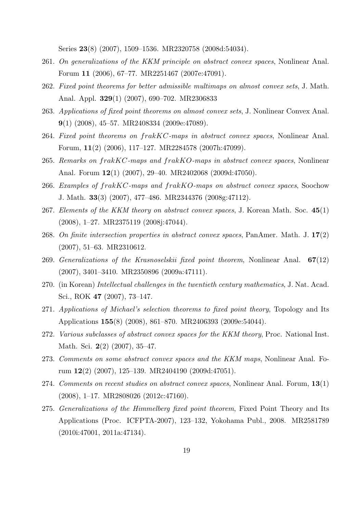Series **23**(8) (2007), 1509–1536. MR2320758 (2008d:54034).

- 261. *On generalizations of the KKM principle on abstract convex spaces*, Nonlinear Anal. Forum **11** (2006), 67–77. MR2251467 (2007e:47091).
- 262. *Fixed point theorems for better admissible multimaps on almost convex sets*, J. Math. Anal. Appl. **329**(1) (2007), 690–702. MR2306833
- 263. *Applications of fixed point theorems on almost convex sets*, J. Nonlinear Convex Anal. **9**(1) (2008), 45–57. MR2408334 (2009e:47089).
- 264. *Fixed point theorems on frakKC-maps in abstract convex spaces*, Nonlinear Anal. Forum, **11**(2) (2006), 117–127. MR2284578 (2007h:47099).
- 265. *Remarks on frakKC-maps and frakKO-maps in abstract convex spaces*, Nonlinear Anal. Forum **12**(1) (2007), 29–40. MR2402068 (2009d:47050).
- 266. *Examples of frakKC-maps and frakKO-maps on abstract convex spaces*, Soochow J. Math. **33**(3) (2007), 477–486. MR2344376 (2008g:47112).
- 267. *Elements of the KKM theory on abstract convex spaces*, J. Korean Math. Soc. **45**(1) (2008), 1–27. MR2375119 (2008j:47044).
- 268. *On finite intersection properties in abstract convex spaces*, PanAmer. Math. J. **17**(2) (2007), 51–63. MR2310612.
- 269. *Generalizations of the Krasnoselskii fixed point theorem*, Nonlinear Anal. **67**(12) (2007), 3401–3410. MR2350896 (2009a:47111).
- 270. (in Korean) *Intellectual challenges in the twentieth century mathematics*, J. Nat. Acad. Sci., ROK **47** (2007), 73–147.
- 271. *Applications of Michael's selection theorems to fixed point theory*, Topology and Its Applications **155**(8) (2008), 861–870. MR2406393 (2009e:54044).
- 272. *Various subclasses of abstract convex spaces for the KKM theory*, Proc. National Inst. Math. Sci. **2**(2) (2007), 35–47.
- 273. *Comments on some abstract convex spaces and the KKM maps*, Nonlinear Anal. Forum **12**(2) (2007), 125–139. MR2404190 (2009d:47051).
- 274. *Comments on recent studies on abstract convex spaces*, Nonlinear Anal. Forum, **13**(1) (2008), 1–17. MR2808026 (2012c:47160).
- 275. *Generalizations of the Himmelberg fixed point theorem*, Fixed Point Theory and Its Applications (Proc. ICFPTA-2007), 123–132, Yokohama Publ., 2008. MR2581789 (2010i:47001, 2011a:47134).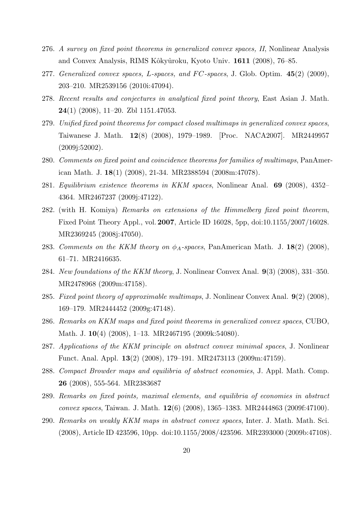- 276. *A survey on fixed point theorems in generalized convex spaces, II*, Nonlinear Analysis and Convex Analysis, RIMS Kôkyûroku, Kyoto Univ. 1611 (2008), 76–85.
- 277. *Generalized convex spaces, L-spaces, and F C-spaces*, J. Glob. Optim. **45**(2) (2009), 203–210. MR2539156 (2010i:47094).
- 278. *Recent results and conjectures in analytical fixed point theory*, East Asian J. Math. **24**(1) (2008), 11–20. Zbl 1151.47053.
- 279. *Unified fixed point theorems for compact closed multimaps in generalized convex spaces*, Taiwanese J. Math. **12**(8) (2008), 1979–1989. [Proc. NACA2007]. MR2449957 (2009j:52002).
- 280. *Comments on fixed point and coincidence theorems for families of multimaps*, PanAmerican Math. J. **18**(1) (2008), 21-34. MR2388594 (2008m:47078).
- 281. *Equilibrium existence theorems in KKM spaces*, Nonlinear Anal. **69** (2008), 4352– 4364. MR2467237 (2009j:47122).
- 282. (with H. Komiya) *Remarks on extensions of the Himmelberg fixed point theorem*, Fixed Point Theory Appl., vol. **2007**, Article ID 16028, 5pp, doi:10.1155/2007/16028. MR2369245 (2008j:47050).
- 283. *Comments on the KKM theory on*  $\phi_A$ -spaces, PanAmerican Math. J. 18(2) (2008), 61–71. MR2416635.
- 284. *New foundations of the KKM theory*, J. Nonlinear Convex Anal. **9**(3) (2008), 331–350. MR2478968 (2009m:47158).
- 285. *Fixed point theory of approximable multimaps*, J. Nonlinear Convex Anal. **9**(2) (2008), 169–179. MR2444452 (2009g:47148).
- 286. *Remarks on KKM maps and fixed point theorems in generalized convex spaces*, CUBO, Math. J. **10**(4) (2008), 1–13. MR2467195 (2009k:54080).
- 287. *Applications of the KKM principle on abstract convex minimal spaces*, J. Nonlinear Funct. Anal. Appl. **13**(2) (2008), 179–191. MR2473113 (2009m:47159).
- 288. *Compact Browder maps and equilibria of abstract economies*, J. Appl. Math. Comp. **26** (2008), 555-564. MR2383687
- 289. *Remarks on fixed points, maximal elements, and equilibria of economies in abstract convex spaces*, Taiwan. J. Math. **12**(6) (2008), 1365–1383. MR2444863 (2009f:47100).
- 290. *Remarks on weakly KKM maps in abstract convex spaces*, Inter. J. Math. Math. Sci. (2008), Article ID 423596, 10pp. doi:10.1155/2008/423596. MR2393000 (2009b:47108).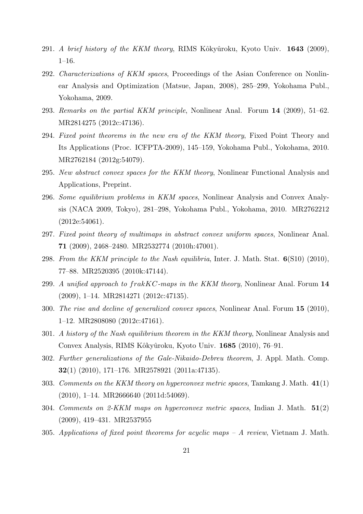- 291. *A brief history of the KKM theory*, RIMS Kôkyûroku, Kyoto Univ. **1643** (2009), 1–16.
- 292. *Characterizations of KKM spaces*, Proceedings of the Asian Conference on Nonlinear Analysis and Optimization (Matsue, Japan, 2008), 285–299, Yokohama Publ., Yokohama, 2009.
- 293. *Remarks on the partial KKM principle*, Nonlinear Anal. Forum **14** (2009), 51–62. MR2814275 (2012c:47136).
- 294. *Fixed point theorems in the new era of the KKM theory*, Fixed Point Theory and Its Applications (Proc. ICFPTA-2009), 145–159, Yokohama Publ., Yokohama, 2010. MR2762184 (2012g:54079).
- 295. *New abstract convex spaces for the KKM theory*, Nonlinear Functional Analysis and Applications, Preprint.
- 296. *Some equilibrium problems in KKM spaces*, Nonlinear Analysis and Convex Analysis (NACA 2009, Tokyo), 281–298, Yokohama Publ., Yokohama, 2010. MR2762212 (2012e:54061).
- 297. *Fixed point theory of multimaps in abstract convex uniform spaces*, Nonlinear Anal. **71** (2009), 2468–2480. MR2532774 (2010h:47001).
- 298. *From the KKM principle to the Nash equilibria*, Inter. J. Math. Stat. **6**(S10) (2010), 77–88. MR2520395 (2010k:47144).
- 299. *A unified approach to frakKC-maps in the KKM theory*, Nonlinear Anal. Forum **14** (2009), 1–14. MR2814271 (2012c:47135).
- 300. *The rise and decline of generalized convex spaces*, Nonlinear Anal. Forum **15** (2010), 1–12. MR2808080 (2012c:47161).
- 301. *A history of the Nash equilibrium theorem in the KKM theory*, Nonlinear Analysis and Convex Analysis, RIMS Kôkyûroku, Kyoto Univ. 1685 (2010), 76–91.
- 302. *Further generalizations of the Gale-Nikaido-Debreu theorem*, J. Appl. Math. Comp. **32**(1) (2010), 171–176. MR2578921 (2011a:47135).
- 303. *Comments on the KKM theory on hyperconvex metric spaces*, Tamkang J. Math. **41**(1)  $(2010)$ , 1–14. MR2666640  $(2011d:54069)$ .
- 304. *Comments on 2-KKM maps on hyperconvex metric spaces*, Indian J. Math. **51**(2) (2009), 419–431. MR2537955
- 305. *Applications of fixed point theorems for acyclic maps A review*, Vietnam J. Math.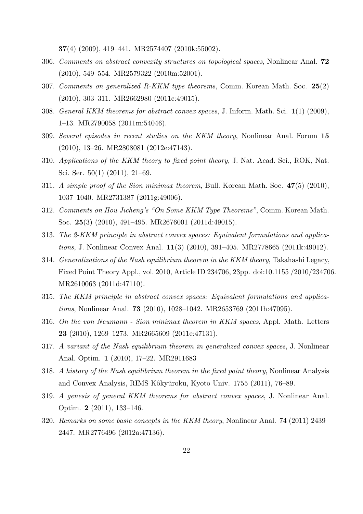**37**(4) (2009), 419–441. MR2574407 (2010k:55002).

- 306. *Comments on abstract convexity structures on topological spaces*, Nonlinear Anal. **72** (2010), 549–554. MR2579322 (2010m:52001).
- 307. *Comments on generalized R-KKM type theorems*, Comm. Korean Math. Soc. **25**(2) (2010), 303–311. MR2662980 (2011c:49015).
- 308. *General KKM theorems for abstract convex spaces*, J. Inform. Math. Sci. **1**(1) (2009), 1–13. MR2790058 (2011m:54046).
- 309. *Several episodes in recent studies on the KKM theory*, Nonlinear Anal. Forum **15** (2010), 13–26. MR2808081 (2012e:47143).
- 310. *Applications of the KKM theory to fixed point theory*, J. Nat. Acad. Sci., ROK, Nat. Sci. Ser. 50(1) (2011), 21–69.
- 311. *A simple proof of the Sion minimax theorem*, Bull. Korean Math. Soc. **47**(5) (2010), 1037–1040. MR2731387 (2011g:49006).
- 312. *Comments on Hou Jicheng's "On Some KKM Type Theorems"*, Comm. Korean Math. Soc. **25**(3) (2010), 491–495. MR2676001 (2011d:49015).
- 313. *The 2-KKM principle in abstract convex spaces: Equivalent formulations and applications*, J. Nonlinear Convex Anal. **11**(3) (2010), 391–405. MR2778665 (2011k:49012).
- 314. *Generalizations of the Nash equilibrium theorem in the KKM theory*, Takahashi Legacy, Fixed Point Theory Appl., vol. 2010, Article ID 234706, 23pp. doi:10.1155 /2010/234706. MR2610063 (2011d:47110).
- 315. *The KKM principle in abstract convex spaces: Equivalent formulations and applications*, Nonlinear Anal. **73** (2010), 1028–1042. MR2653769 (2011h:47095).
- 316. *On the von Neumann Sion minimax theorem in KKM spaces*, Appl. Math. Letters **23** (2010), 1269–1273. MR2665609 (2011e:47131).
- 317. *A variant of the Nash equilibrium theorem in generalized convex spaces*, J. Nonlinear Anal. Optim. **1** (2010), 17–22. MR2911683
- 318. *A history of the Nash equilibrium theorem in the fixed point theory*, Nonlinear Analysis and Convex Analysis, RIMS Kôkyûroku, Kyoto Univ. 1755 (2011), 76–89.
- 319. *A genesis of general KKM theorems for abstract convex spaces*, J. Nonlinear Anal. Optim. **2** (2011), 133–146.
- 320. *Remarks on some basic concepts in the KKM theory*, Nonlinear Anal. 74 (2011) 2439– 2447. MR2776496 (2012a:47136).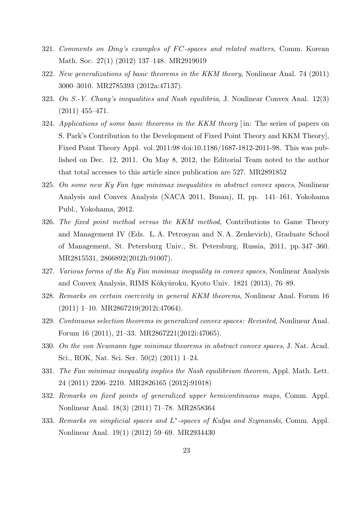- 321. *Comments on Ding's examples of F C-spaces and related matters*, Comm. Korean Math. Soc. 27(1) (2012) 137–148. MR2919019
- 322. *New generalizations of basic theorems in the KKM theory*, Nonlinear Anal. 74 (2011) 3000–3010. MR2785393 (2012a:47137).
- 323. *On S.-Y. Chang's inequalities and Nash equilibria*, J. Nonlinear Convex Anal. 12(3) (2011) 455–471.
- 324. *Applications of some basic theorems in the KKM theory* [ in: The series of papers on S. Park's Contribution to the Development of Fixed Point Theory and KKM Theory], Fixed Point Theory Appl. vol. 2011:98 doi:10.1186/1687-1812-2011-98. This was published on Dec. 12, 2011. On May 8, 2012, the Editorial Team noted to the author that total accesses to this article since publication are 527. MR2891852
- 325. *On some new Ky Fan type minimax inequalities in abstract convex spaces*, Nonlinear Analysis and Convex Analysis (NACA 2011, Busan), II, pp. 141–161, Yokohama Publ., Yokohama, 2012.
- 326. *The fixed point method versus the KKM method*, Contributions to Game Theory and Management IV (Eds. L. A. Petrosyan and N. A. Zenkevich), Graduate School of Management, St. Petersburg Univ., St. Petersburg, Russia, 2011, pp. 347–360. MR2815531, 2866892(2012h:91007).
- 327. *Various forms of the Ky Fan minimax inequality in convex spaces*, Nonlinear Analysis and Convex Analysis, RIMS Kôkyûroku, Kyoto Univ. 1821 (2013), 76–89.
- 328. *Remarks on certain coercivity in general KKM theorems*, Nonlinear Anal. Forum 16 (2011) 1–10. MR2867219(2012i:47064).
- 329. *Continuous selection theorems in generalized convex spaces: Revisited*, Nonlinear Anal. Forum 16 (2011), 21–33. MR2867221(2012i:47065).
- 330. *On the von Neumann type minimax theorems in abstract convex spaces*, J. Nat. Acad. Sci., ROK, Nat. Sci. Ser. 50(2) (2011) 1–24.
- 331. *The Fan minimax inequality implies the Nash equilibrium theorem*, Appl. Math. Lett. 24 (2011) 2206–2210. MR2826165 (2012j:91018)
- 332. *Remarks on fixed points of generalized upper hemicontinuous maps*, Comm. Appl. Nonlinear Anal. 18(3) (2011) 71–78. MR2858364
- 333. *Remarks on simplicial spaces and L ∗ -spaces of Kulpa and Szymanski*, Comm. Appl. Nonlinear Anal. 19(1) (2012) 59–69. MR2934430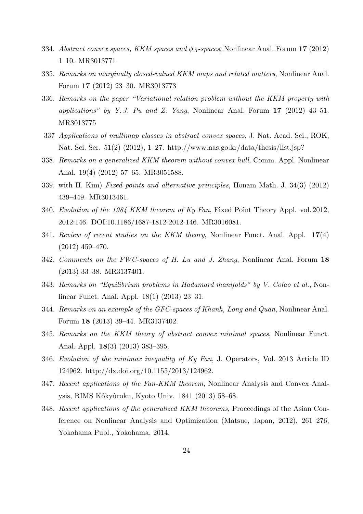- 334. *Abstract convex spaces, KKM spaces and ϕA-spaces*, Nonlinear Anal. Forum **17** (2012) 1–10. MR3013771
- 335. *Remarks on marginally closed-valued KKM maps and related matters*, Nonlinear Anal. Forum **17** (2012) 23–30. MR3013773
- 336. *Remarks on the paper "Variational relation problem without the KKM property with applications" by Y. J. Pu and Z. Yang*, Nonlinear Anal. Forum **17** (2012) 43–51. MR3013775
- 337 *Applications of multimap classes in abstract convex spaces*, J. Nat. Acad. Sci., ROK, Nat. Sci. Ser. 51(2) (2012), 1–27. http://www.nas.go.kr/data/thesis/list.jsp?
- 338. *Remarks on a generalized KKM theorem without convex hull*, Comm. Appl. Nonlinear Anal. 19(4) (2012) 57–65. MR3051588.
- 339. with H. Kim) *Fixed points and alternative principles*, Honam Math. J. 34(3) (2012) 439–449. MR3013461.
- 340. *Evolution of the 1984 KKM theorem of Ky Fan*, Fixed Point Theory Appl. vol. 2012, 2012:146. DOI:10.1186/1687-1812-2012-146. MR3016081.
- 341. *Review of recent studies on the KKM theory*, Nonlinear Funct. Anal. Appl. **17**(4) (2012) 459–470.
- 342. *Comments on the FWC-spaces of H. Lu and J. Zhang*, Nonlinear Anal. Forum **18** (2013) 33–38. MR3137401.
- 343. *Remarks on "Equilibrium problems in Hadamard manifolds" by V. Colao et al.*, Nonlinear Funct. Anal. Appl. 18(1) (2013) 23–31.
- 344. *Remarks on an example of the GFC-spaces of Khanh, Long and Quan*, Nonlinear Anal. Forum **18** (2013) 39–44. MR3137402.
- 345. *Remarks on the KKM theory of abstract convex minimal spaces*, Nonlinear Funct. Anal. Appl. **18**(3) (2013) 383–395.
- 346. *Evolution of the minimax inequality of Ky Fan*, J. Operators, Vol. 2013 Article ID 124962. http://dx.doi.org/10.1155/2013/124962.
- 347. *Recent applications of the Fan-KKM theorem*, Nonlinear Analysis and Convex Analysis, RIMS Kôkyûroku, Kyoto Univ. 1841 (2013) 58–68.
- 348. *Recent applications of the generalized KKM theorems*, Proceedings of the Asian Conference on Nonlinear Analysis and Optimization (Matsue, Japan, 2012), 261–276, Yokohama Publ., Yokohama, 2014.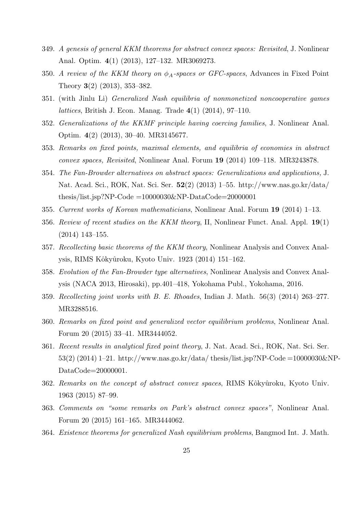- 349. *A genesis of general KKM theorems for abstract convex spaces: Revisited*, J. Nonlinear Anal. Optim. **4**(1) (2013), 127–132. MR3069273.
- 350. *A review of the KKM theory on*  $\phi_A$ -spaces or GFC-spaces, Advances in Fixed Point Theory **3**(2) (2013), 353–382.
- 351. (with Jinlu Li) *Generalized Nash equilibria of nonmonetized noncooperative games lattices*, British J. Econ. Manag. Trade **4**(1) (2014), 97–110.
- 352. *Generalizations of the KKMF principle having coercing families*, J. Nonlinear Anal. Optim. **4**(2) (2013), 30–40. MR3145677.
- 353. *Remarks on fixed points, maximal elements, and equilibria of economies in abstract convex spaces, Revisited*, Nonlinear Anal. Forum **19** (2014) 109–118. MR3243878.
- 354. *The Fan-Browder alternatives on abstract spaces: Generalizations and applications,* J. Nat. Acad. Sci., ROK, Nat. Sci. Ser. **52**(2) (2013) 1–55. http://www.nas.go.kr/data/ thesis/list.jsp?NP-Code  $=10000030\&$ NP-DataCode $=20000001$
- 355. *Current works of Korean mathematicians*, Nonlinear Anal. Forum **19** (2014) 1–13.
- 356. *Review of recent studies on the KKM theory*, II, Nonlinear Funct. Anal. Appl. **19**(1) (2014) 143–155.
- 357. *Recollecting basic theorems of the KKM theory*, Nonlinear Analysis and Convex Analysis, RIMS Kôkyûroku, Kyoto Univ. 1923 (2014) 151-162.
- 358. *Evolution of the Fan-Browder type alternatives*, Nonlinear Analysis and Convex Analysis (NACA 2013, Hirosaki), pp.401–418, Yokohama Publ., Yokohama, 2016.
- 359. *Recollecting joint works with B. E. Rhoades*, Indian J. Math. 56(3) (2014) 263–277. MR3288516.
- 360. *Remarks on fixed point and generalized vector equilibrium problems*, Nonlinear Anal. Forum 20 (2015) 33–41. MR3444052.
- 361. *Recent results in analytical fixed point theory*, J. Nat. Acad. Sci., ROK, Nat. Sci. Ser. 53(2) (2014) 1–21. http://www.nas.go.kr/data/ thesis/list.jsp?NP-Code =10000030&NP-DataCode=20000001.
- 362. *Remarks on the concept of abstract convex spaces*, RIMS Kôkyûroku, Kyoto Univ. 1963 (2015) 87–99.
- 363. *Comments on "some remarks on Park's abstract convex spaces"*, Nonlinear Anal. Forum 20 (2015) 161–165. MR3444062.
- 364. *Existence theorems for generalized Nash equilibrium problems*, Bangmod Int. J. Math.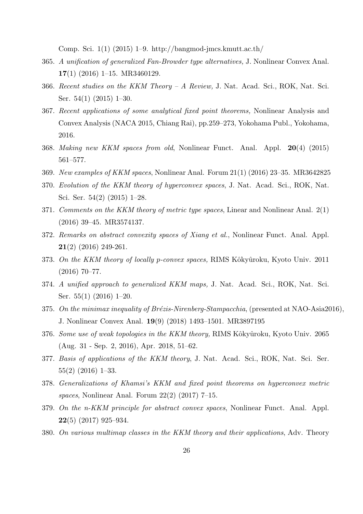Comp. Sci. 1(1) (2015) 1–9. http://bangmod-jmcs.kmutt.ac.th/

- 365. *A unification of generalized Fan-Browder type alternatives,* J. Nonlinear Convex Anal. **17**(1) (2016) 1–15. MR3460129.
- 366. *Recent studies on the KKM Theory A Review,* J. Nat. Acad. Sci., ROK, Nat. Sci. Ser. 54(1) (2015) 1–30.
- 367. *Recent applications of some analytical fixed point theorems,* Nonlinear Analysis and Convex Analysis (NACA 2015, Chiang Rai), pp.259–273, Yokohama Publ., Yokohama, 2016.
- 368. *Making new KKM spaces from old*, Nonlinear Funct. Anal. Appl. **20**(4) (2015) 561–577.
- 369. *New examples of KKM spaces*, Nonlinear Anal. Forum 21(1) (2016) 23–35. MR3642825
- 370. *Evolution of the KKM theory of hyperconvex spaces*, J. Nat. Acad. Sci., ROK, Nat. Sci. Ser. 54(2) (2015) 1–28.
- 371. *Comments on the KKM theory of metric type spaces*, Linear and Nonlinear Anal. 2(1) (2016) 39–45. MR3574137.
- 372. *Remarks on abstract convexity spaces of Xiang et al.*, Nonlinear Funct. Anal. Appl. **21**(2) (2016) 249-261.
- 373. On the KKM theory of locally *p*-convex spaces, RIMS Kôkyûroku, Kyoto Univ. 2011  $(2016)$  70–77.
- 374. *A unified approach to generalized KKM maps,* J. Nat. Acad. Sci., ROK, Nat. Sci. Ser. 55(1) (2016) 1–20.
- 375. On the minimax inequality of Brézis-Nirenberg-Stampacchia, (presented at NAO-Asia2016), J. Nonlinear Convex Anal. **19**(9) (2018) 1493–1501. MR3897195
- 376. *Some use of weak topologies in the KKM theory*, RIMS Kôkyûroku, Kyoto Univ. 2065 (Aug. 31 - Sep. 2, 2016), Apr. 2018, 51–62.
- 377. *Basis of applications of the KKM theory*, J. Nat. Acad. Sci., ROK, Nat. Sci. Ser. 55(2) (2016) 1–33.
- 378. *Generalizations of Khamsi's KKM and fixed point theorems on hyperconvex metric spaces*, Nonlinear Anal. Forum 22(2) (2017) 7–15.
- 379. *On the n-KKM principle for abstract convex spaces*, Nonlinear Funct. Anal. Appl. **22**(5) (2017) 925–934.
- 380. *On various multimap classes in the KKM theory and their applications*, Adv. Theory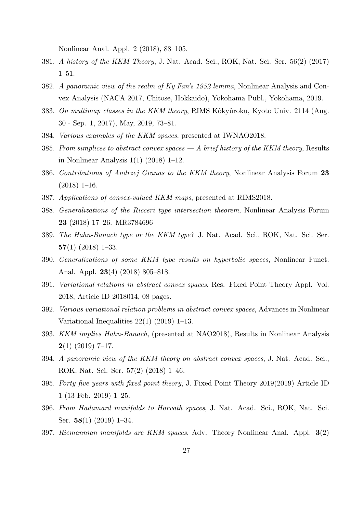Nonlinear Anal. Appl. 2 (2018), 88–105.

- 381. *A history of the KKM Theory*, J. Nat. Acad. Sci., ROK, Nat. Sci. Ser. 56(2) (2017) 1–51.
- 382. *A panoramic view of the realm of Ky Fan's 1952 lemma*, Nonlinear Analysis and Convex Analysis (NACA 2017, Chitose, Hokkaido), Yokohama Publ., Yokohama, 2019.
- 383. *On multimap classes in the KKM theory*, RIMS Kôkyûroku, Kyoto Univ. 2114 (Aug. 30 - Sep. 1, 2017), May, 2019, 73–81.
- 384. *Various examples of the KKM spaces*, presented at IWNAO2018.
- 385. *From simplices to abstract convex spaces A brief history of the KKM theory*, Results in Nonlinear Analysis 1(1) (2018) 1–12.
- 386. *Contributions of Andrzej Granas to the KKM theory*, Nonlinear Analysis Forum **23**  $(2018)$  1–16.
- 387. *Applications of convex-valued KKM maps*, presented at RIMS2018.
- 388. *Generalizations of the Ricceri type intersection theorem*, Nonlinear Analysis Forum **23** (2018) 17–26. MR3784696
- 389. *The Hahn-Banach type or the KKM type?* J. Nat. Acad. Sci., ROK, Nat. Sci. Ser. **57**(1) (2018) 1–33.
- 390. *Generalizations of some KKM type results on hyperbolic spaces*, Nonlinear Funct. Anal. Appl. **23**(4) (2018) 805–818.
- 391. *Variational relations in abstract convex spaces*, Res. Fixed Point Theory Appl. Vol. 2018, Article ID 2018014, 08 pages.
- 392. *Various variational relation problems in abstract convex spaces*, Advances in Nonlinear Variational Inequalities 22(1) (2019) 1–13.
- 393. *KKM implies Hahn-Banach*, (presented at NAO2018), Results in Nonlinear Analysis **2**(1) (2019) 7–17.
- 394. *A panoramic view of the KKM theory on abstract convex spaces*, J. Nat. Acad. Sci., ROK, Nat. Sci. Ser. 57(2) (2018) 1–46.
- 395. *Forty five years with fixed point theory*, J. Fixed Point Theory 2019(2019) Article ID 1 (13 Feb. 2019) 1–25.
- 396. *From Hadamard manifolds to Horvath spaces*, J. Nat. Acad. Sci., ROK, Nat. Sci. Ser. **58**(1) (2019) 1–34.
- 397. *Riemannian manifolds are KKM spaces*, Adv. Theory Nonlinear Anal. Appl. **3**(2)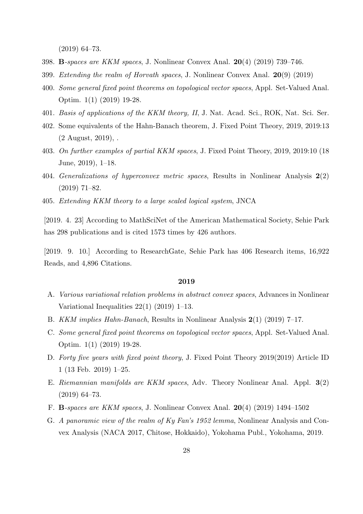(2019) 64–73.

- 398. **B***-spaces are KKM spaces*, J. Nonlinear Convex Anal. **20**(4) (2019) 739–746.
- 399. *Extending the realm of Horvath spaces*, J. Nonlinear Convex Anal. **20**(9) (2019)
- 400. *Some general fixed point theorems on topological vector spaces*, Appl. Set-Valued Anal. Optim. 1(1) (2019) 19-28.
- 401. *Basis of applications of the KKM theory, II*, J. Nat. Acad. Sci., ROK, Nat. Sci. Ser.
- 402. Some equivalents of the Hahn-Banach theorem, J. Fixed Point Theory, 2019, 2019:13 (2 August, 2019), .
- 403. *On further examples of partial KKM spaces*, J. Fixed Point Theory, 2019, 2019:10 (18 June, 2019), 1–18.
- 404. *Generalizations of hyperconvex metric spaces*, Results in Nonlinear Analysis **2**(2) (2019) 71–82.
- 405. *Extending KKM theory to a large scaled logical system*, JNCA

[2019. 4. 23] According to MathSciNet of the American Mathematical Society, Sehie Park has 298 publications and is cited 1573 times by 426 authors.

[2019. 9. 10.] According to ResearchGate, Sehie Park has 406 Research items, 16,922 Reads, and 4,896 Citations.

## **2019**

- A. *Various variational relation problems in abstract convex spaces*, Advances in Nonlinear Variational Inequalities 22(1) (2019) 1–13.
- B. *KKM implies Hahn-Banach*, Results in Nonlinear Analysis **2**(1) (2019) 7–17.
- C. *Some general fixed point theorems on topological vector spaces*, Appl. Set-Valued Anal. Optim. 1(1) (2019) 19-28.
- D. *Forty five years with fixed point theory*, J. Fixed Point Theory 2019(2019) Article ID 1 (13 Feb. 2019) 1–25.
- E. *Riemannian manifolds are KKM spaces*, Adv. Theory Nonlinear Anal. Appl. **3**(2) (2019) 64–73.
- F. **B***-spaces are KKM spaces*, J. Nonlinear Convex Anal. **20**(4) (2019) 1494–1502
- G. *A panoramic view of the realm of Ky Fan's 1952 lemma*, Nonlinear Analysis and Convex Analysis (NACA 2017, Chitose, Hokkaido), Yokohama Publ., Yokohama, 2019.